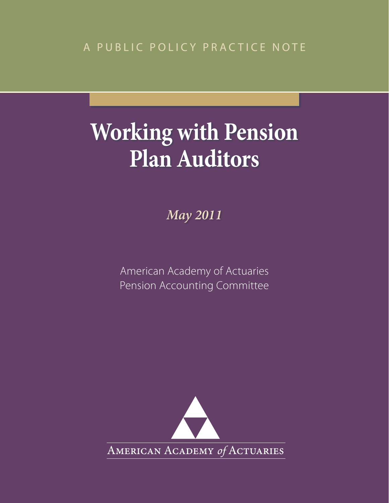A PUBLIC POLICY PRACTICE NOTE

# **Working with Pension Plan Auditors**

*May 2011*

American Academy of Actuaries Pension Accounting Committee

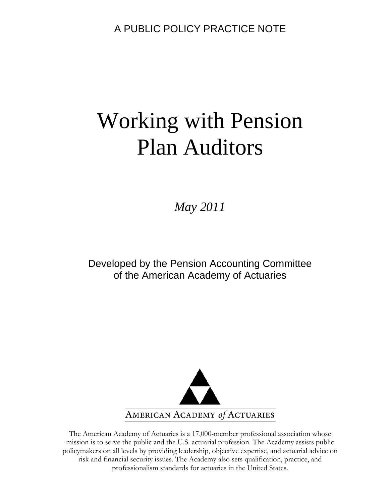A PUBLIC POLICY PRACTICE NOTE

# Working with Pension Plan Auditors

*May 2011* 

Developed by the Pension Accounting Committee of the American Academy of Actuaries



The American Academy of Actuaries is a 17,000-member professional association whose mission is to serve the public and the U.S. actuarial profession. The Academy assists public policymakers on all levels by providing leadership, objective expertise, and actuarial advice on risk and financial security issues. The Academy also sets qualification, practice, and professionalism standards for actuaries in the United States.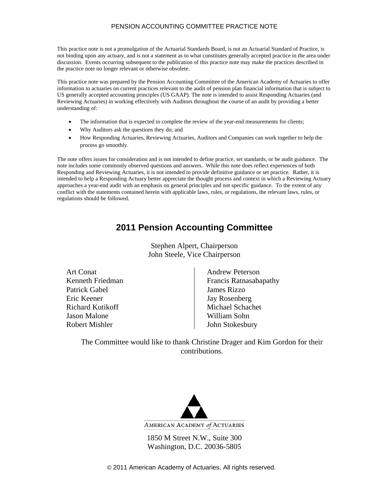This practice note is not a promulgation of the Actuarial Standards Board, is not an Actuarial Standard of Practice, is not binding upon any actuary, and is not a statement as to what constitutes generally accepted practice in the area under discussion. Events occurring subsequent to the publication of this practice note may make the practices described in the practice note no longer relevant or otherwise obsolete.

This practice note was prepared by the Pension Accounting Committee of the American Academy of Actuaries to offer information to actuaries on current practices relevant to the audit of pension plan financial information that is subject to US generally accepted accounting principles (US GAAP). The note is intended to assist Responding Actuaries (and Reviewing Actuaries) in working effectively with Auditors throughout the course of an audit by providing a better understanding of:

- The information that is expected to complete the review of the year-end measurements for clients;
- Why Auditors ask the questions they do; and
- How Responding Actuaries, Reviewing Actuaries, Auditors and Companies can work together to help the process go smoothly.

The note offers issues for consideration and is not intended to define practice, set standards, or be audit guidance. The note includes some commonly observed questions and answers. While this note does reflect experiences of both Responding and Reviewing Actuaries, it is not intended to provide definitive guidance or set practice. Rather, it is intended to help a Responding Actuary better appreciate the thought process and context in which a Reviewing Actuary approaches a year-end audit with an emphasis on general principles and not specific guidance. To the extent of any conflict with the statements contained herein with applicable laws, rules, or regulations, the relevant laws, rules, or regulations should be followed.

## **2011 Pension Accounting Committee**

Stephen Alpert, Chairperson John Steele, Vice Chairperson

| <b>Art Conat</b>        | <b>Andrew Peterson</b>  |
|-------------------------|-------------------------|
| Kenneth Friedman        | Francis Ratnasabapathy  |
| Patrick Gabel           | <b>James Rizzo</b>      |
| Eric Keener             | <b>Jay Rosenberg</b>    |
| <b>Richard Kutikoff</b> | <b>Michael Schachet</b> |
| Jason Malone            | William Sohn            |
| <b>Robert Mishler</b>   | John Stokesbury         |
|                         |                         |

The Committee would like to thank Christine Drager and Kim Gordon for their contributions.



1850 M Street N.W., Suite 300 Washington, D.C. 20036-5805

© 2011 American Academy of Actuaries. All rights reserved.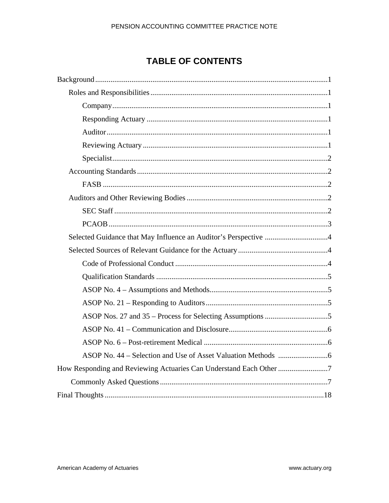# **TABLE OF CONTENTS**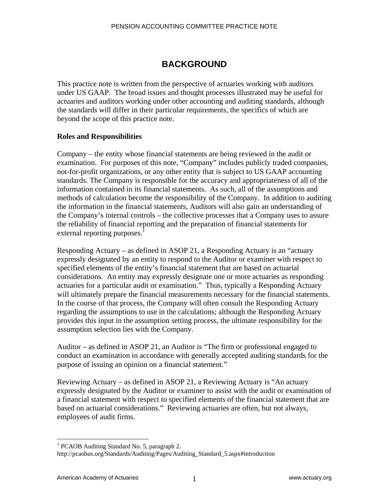## **BACKGROUND**

This practice note is written from the perspective of actuaries working with auditors under US GAAP. The broad issues and thought processes illustrated may be useful for actuaries and auditors working under other accounting and auditing standards, although the standards will differ in their particular requirements, the specifics of which are beyond the scope of this practice note.

## **Roles and Responsibilities**

Company – the entity whose financial statements are being reviewed in the audit or examination. For purposes of this note, "Company" includes publicly traded companies, not-for-profit organizations, or any other entity that is subject to US GAAP accounting standards. The Company is responsible for the accuracy and appropriateness of all of the information contained in its financial statements. As such, all of the assumptions and methods of calculation become the responsibility of the Company. In addition to auditing the information in the financial statements, Auditors will also gain an understanding of the Company's internal controls – the collective processes that a Company uses to assure the reliability of financial reporting and the preparation of financial statements for external reporting purposes.<sup>1</sup>

Responding Actuary – as defined in ASOP 21, a Responding Actuary is an "actuary expressly designated by an entity to respond to the Auditor or examiner with respect to specified elements of the entity's financial statement that are based on actuarial considerations. An entity may expressly designate one or more actuaries as responding actuaries for a particular audit or examination." Thus, typically a Responding Actuary will ultimately prepare the financial measurements necessary for the financial statements. In the course of that process, the Company will often consult the Responding Actuary regarding the assumptions to use in the calculations; although the Responding Actuary provides this input in the assumption setting process, the ultimate responsibility for the assumption selection lies with the Company.

Auditor – as defined in ASOP 21, an Auditor is "The firm or professional engaged to conduct an examination in accordance with generally accepted auditing standards for the purpose of issuing an opinion on a financial statement."

Reviewing Actuary – as defined in ASOP 21, a Reviewing Actuary is "An actuary expressly designated by the Auditor or examiner to assist with the audit or examination of a financial statement with respect to specified elements of the financial statement that are based on actuarial considerations." Reviewing actuaries are often, but not always, employees of audit firms.

 $\overline{a}$ 

<sup>&</sup>lt;sup>1</sup> PCAOB Auditing Standard No. 5, paragraph 2.

http://pcaobus.org/Standards/Auditing/Pages/Auditing\_Standard\_5.aspx#introduction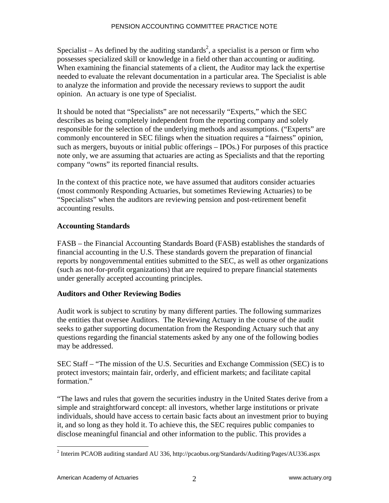Specialist – As defined by the auditing standards<sup>2</sup>, a specialist is a person or firm who possesses specialized skill or knowledge in a field other than accounting or auditing. When examining the financial statements of a client, the Auditor may lack the expertise needed to evaluate the relevant documentation in a particular area. The Specialist is able to analyze the information and provide the necessary reviews to support the audit opinion. An actuary is one type of Specialist.

It should be noted that "Specialists" are not necessarily "Experts," which the SEC describes as being completely independent from the reporting company and solely responsible for the selection of the underlying methods and assumptions. ("Experts" are commonly encountered in SEC filings when the situation requires a "fairness" opinion, such as mergers, buyouts or initial public offerings – IPOs.) For purposes of this practice note only, we are assuming that actuaries are acting as Specialists and that the reporting company "owns" its reported financial results.

In the context of this practice note, we have assumed that auditors consider actuaries (most commonly Responding Actuaries, but sometimes Reviewing Actuaries) to be "Specialists" when the auditors are reviewing pension and post-retirement benefit accounting results.

## **Accounting Standards**

FASB – the Financial Accounting Standards Board (FASB) establishes the standards of financial accounting in the U.S. These standards govern the preparation of financial reports by nongovernmental entities submitted to the SEC, as well as other organizations (such as not-for-profit organizations) that are required to prepare financial statements under generally accepted accounting principles.

## **Auditors and Other Reviewing Bodies**

Audit work is subject to scrutiny by many different parties. The following summarizes the entities that oversee Auditors. The Reviewing Actuary in the course of the audit seeks to gather supporting documentation from the Responding Actuary such that any questions regarding the financial statements asked by any one of the following bodies may be addressed.

SEC Staff – "The mission of the U.S. Securities and Exchange Commission (SEC) is to protect investors; maintain fair, orderly, and efficient markets; and facilitate capital formation."

"The laws and rules that govern the securities industry in the United States derive from a simple and straightforward concept: all investors, whether large institutions or private individuals, should have access to certain basic facts about an investment prior to buying it, and so long as they hold it. To achieve this, the SEC requires public companies to disclose meaningful financial and other information to the public. This provides a

 2 Interim PCAOB auditing standard AU 336, http://pcaobus.org/Standards/Auditing/Pages/AU336.aspx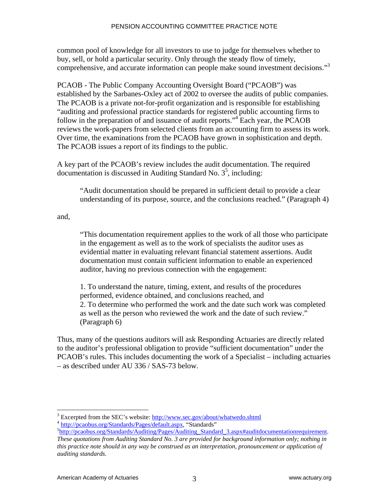common pool of knowledge for all investors to use to judge for themselves whether to buy, sell, or hold a particular security. Only through the steady flow of timely, comprehensive, and accurate information can people make sound investment decisions."3

PCAOB - The Public Company Accounting Oversight Board ("PCAOB") was established by the Sarbanes-Oxley act of 2002 to oversee the audits of public companies. The PCAOB is a private not-for-profit organization and is responsible for establishing "auditing and professional practice standards for registered public accounting firms to follow in the preparation of and issuance of audit reports."<sup>4</sup> Each year, the PCAOB reviews the work-papers from selected clients from an accounting firm to assess its work. Over time, the examinations from the PCAOB have grown in sophistication and depth. The PCAOB issues a report of its findings to the public.

A key part of the PCAOB's review includes the audit documentation. The required  $d$  documentation is discussed in Auditing Standard No.  $3<sup>5</sup>$ , including:

 "Audit documentation should be prepared in sufficient detail to provide a clear understanding of its purpose, source, and the conclusions reached." (Paragraph 4)

and,

 $\overline{a}$ 

 "This documentation requirement applies to the work of all those who participate in the engagement as well as to the work of specialists the auditor uses as evidential matter in evaluating relevant financial statement assertions. Audit documentation must contain sufficient information to enable an experienced auditor, having no previous connection with the engagement:

 1. To understand the nature, timing, extent, and results of the procedures performed, evidence obtained, and conclusions reached, and 2. To determine who performed the work and the date such work was completed as well as the person who reviewed the work and the date of such review." (Paragraph 6)

Thus, many of the questions auditors will ask Responding Actuaries are directly related to the auditor's professional obligation to provide "sufficient documentation" under the PCAOB's rules. This includes documenting the work of a Specialist – including actuaries – as described under AU 336 / SAS-73 below.

<sup>&</sup>lt;sup>3</sup> Excerpted from the SEC's website: http://www.sec.gov/about/whatwedo.shtml

<sup>&</sup>lt;sup>4</sup> http://pcaobus.org/Standards/Pages/default.aspx, "Standards"

http://pcaobus.org/Standards/Auditing/Pages/Auditing\_Standard\_3.aspx#auditdocumentationrequirement. *These quotations from Auditing Standard No. 3 are provided for background information only; nothing in this practice note should in any way be construed as an interpretation, pronouncement or application of auditing standards.*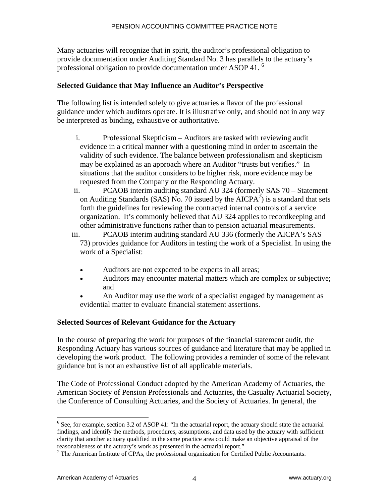Many actuaries will recognize that in spirit, the auditor's professional obligation to provide documentation under Auditing Standard No. 3 has parallels to the actuary's professional obligation to provide documentation under ASOP 41.<sup>6</sup>

## **Selected Guidance that May Influence an Auditor's Perspective**

The following list is intended solely to give actuaries a flavor of the professional guidance under which auditors operate. It is illustrative only, and should not in any way be interpreted as binding, exhaustive or authoritative.

- i. Professional Skepticism Auditors are tasked with reviewing audit evidence in a critical manner with a questioning mind in order to ascertain the validity of such evidence. The balance between professionalism and skepticism may be explained as an approach where an Auditor "trusts but verifies." In situations that the auditor considers to be higher risk, more evidence may be requested from the Company or the Responding Actuary.
- ii. PCAOB interim auditing standard AU 324 (formerly SAS 70 Statement on Auditing Standards (SAS) No. 70 issued by the AICPA $\vec{A}$  is a standard that sets forth the guidelines for reviewing the contracted internal controls of a service organization. It's commonly believed that AU 324 applies to recordkeeping and other administrative functions rather than to pension actuarial measurements.
- iii. PCAOB interim auditing standard AU 336 (formerly the AICPA's SAS 73) provides guidance for Auditors in testing the work of a Specialist. In using the work of a Specialist:
	- Auditors are not expected to be experts in all areas;
	- Auditors may encounter material matters which are complex or subjective; and
	- An Auditor may use the work of a specialist engaged by management as evidential matter to evaluate financial statement assertions.

## **Selected Sources of Relevant Guidance for the Actuary**

In the course of preparing the work for purposes of the financial statement audit, the Responding Actuary has various sources of guidance and literature that may be applied in developing the work product. The following provides a reminder of some of the relevant guidance but is not an exhaustive list of all applicable materials.

The Code of Professional Conduct adopted by the American Academy of Actuaries, the American Society of Pension Professionals and Actuaries, the Casualty Actuarial Society, the Conference of Consulting Actuaries, and the Society of Actuaries. In general, the

1

<sup>&</sup>lt;sup>6</sup> See, for example, section 3.2 of ASOP 41: "In the actuarial report, the actuary should state the actuarial findings, and identify the methods, procedures, assumptions, and data used by the actuary with sufficient clarity that another actuary qualified in the same practice area could make an objective appraisal of the reasonableness of the actuary's work as presented in the actuarial report." 7

 $<sup>7</sup>$  The American Institute of CPAs, the professional organization for Certified Public Accountants.</sup>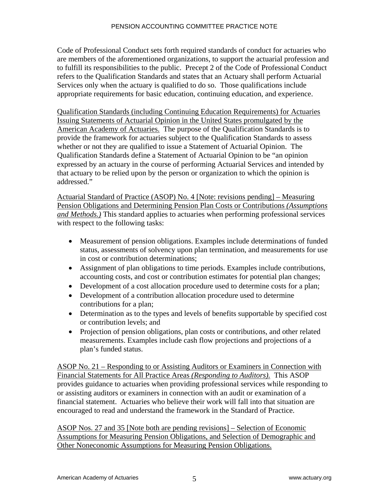Code of Professional Conduct sets forth required standards of conduct for actuaries who are members of the aforementioned organizations, to support the actuarial profession and to fulfill its responsibilities to the public. Precept 2 of the Code of Professional Conduct refers to the Qualification Standards and states that an Actuary shall perform Actuarial Services only when the actuary is qualified to do so. Those qualifications include appropriate requirements for basic education, continuing education, and experience.

Qualification Standards (including Continuing Education Requirements) for Actuaries Issuing Statements of Actuarial Opinion in the United States promulgated by the American Academy of Actuaries. The purpose of the Qualification Standards is to provide the framework for actuaries subject to the Qualification Standards to assess whether or not they are qualified to issue a Statement of Actuarial Opinion. The Qualification Standards define a Statement of Actuarial Opinion to be "an opinion expressed by an actuary in the course of performing Actuarial Services and intended by that actuary to be relied upon by the person or organization to which the opinion is addressed."

Actuarial Standard of Practice (ASOP) No. 4 [Note: revisions pending] – Measuring Pension Obligations and Determining Pension Plan Costs or Contributions *(Assumptions and Methods.)* This standard applies to actuaries when performing professional services with respect to the following tasks:

- Measurement of pension obligations. Examples include determinations of funded status, assessments of solvency upon plan termination, and measurements for use in cost or contribution determinations;
- Assignment of plan obligations to time periods. Examples include contributions, accounting costs, and cost or contribution estimates for potential plan changes;
- Development of a cost allocation procedure used to determine costs for a plan;
- Development of a contribution allocation procedure used to determine contributions for a plan;
- Determination as to the types and levels of benefits supportable by specified cost or contribution levels; and
- Projection of pension obligations, plan costs or contributions, and other related measurements. Examples include cash flow projections and projections of a plan's funded status.

ASOP No. 21 – Responding to or Assisting Auditors or Examiners in Connection with Financial Statements for All Practice Areas *(Responding to Auditors).* This ASOP provides guidance to actuaries when providing professional services while responding to or assisting auditors or examiners in connection with an audit or examination of a financial statement. Actuaries who believe their work will fall into that situation are encouraged to read and understand the framework in the Standard of Practice.

ASOP Nos. 27 and 35 [Note both are pending revisions] – Selection of Economic Assumptions for Measuring Pension Obligations, and Selection of Demographic and Other Noneconomic Assumptions for Measuring Pension Obligations.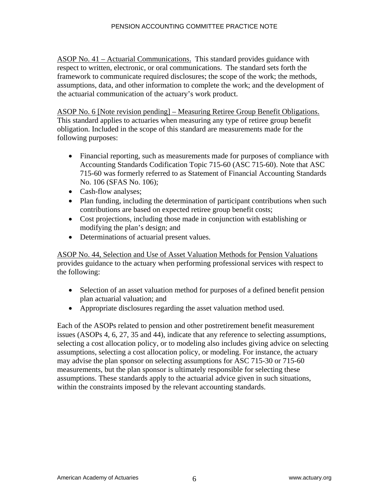ASOP No. 41 – Actuarial Communications. This standard provides guidance with respect to written, electronic, or oral communications. The standard sets forth the framework to communicate required disclosures; the scope of the work; the methods, assumptions, data, and other information to complete the work; and the development of the actuarial communication of the actuary's work product.

ASOP No. 6 [Note revision pending] – Measuring Retiree Group Benefit Obligations. This standard applies to actuaries when measuring any type of retiree group benefit obligation. Included in the scope of this standard are measurements made for the following purposes:

- Financial reporting, such as measurements made for purposes of compliance with Accounting Standards Codification Topic 715-60 (ASC 715-60). Note that ASC 715-60 was formerly referred to as Statement of Financial Accounting Standards No. 106 (SFAS No. 106);
- Cash-flow analyses;
- Plan funding, including the determination of participant contributions when such contributions are based on expected retiree group benefit costs;
- Cost projections, including those made in conjunction with establishing or modifying the plan's design; and
- Determinations of actuarial present values.

ASOP No. 44, Selection and Use of Asset Valuation Methods for Pension Valuations provides guidance to the actuary when performing professional services with respect to the following:

- Selection of an asset valuation method for purposes of a defined benefit pension plan actuarial valuation; and
- Appropriate disclosures regarding the asset valuation method used.

Each of the ASOPs related to pension and other postretirement benefit measurement issues (ASOPs 4, 6, 27, 35 and 44), indicate that any reference to selecting assumptions, selecting a cost allocation policy, or to modeling also includes giving advice on selecting assumptions, selecting a cost allocation policy, or modeling. For instance, the actuary may advise the plan sponsor on selecting assumptions for ASC 715-30 or 715-60 measurements, but the plan sponsor is ultimately responsible for selecting these assumptions. These standards apply to the actuarial advice given in such situations, within the constraints imposed by the relevant accounting standards.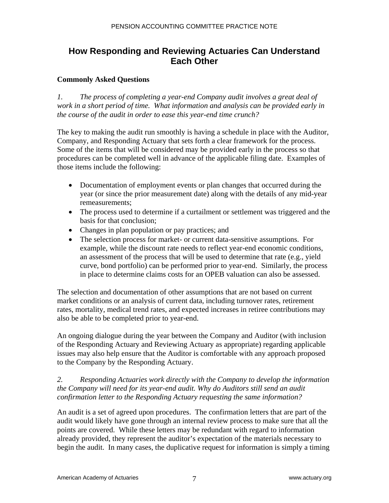# **How Responding and Reviewing Actuaries Can Understand Each Other**

## **Commonly Asked Questions**

*1. The process of completing a year-end Company audit involves a great deal of work in a short period of time. What information and analysis can be provided early in the course of the audit in order to ease this year-end time crunch?* 

The key to making the audit run smoothly is having a schedule in place with the Auditor, Company, and Responding Actuary that sets forth a clear framework for the process. Some of the items that will be considered may be provided early in the process so that procedures can be completed well in advance of the applicable filing date. Examples of those items include the following:

- Documentation of employment events or plan changes that occurred during the year (or since the prior measurement date) along with the details of any mid-year remeasurements;
- The process used to determine if a curtailment or settlement was triggered and the basis for that conclusion;
- Changes in plan population or pay practices; and
- The selection process for market- or current data-sensitive assumptions. For example, while the discount rate needs to reflect year-end economic conditions, an assessment of the process that will be used to determine that rate (e.g., yield curve, bond portfolio) can be performed prior to year-end. Similarly, the process in place to determine claims costs for an OPEB valuation can also be assessed.

The selection and documentation of other assumptions that are not based on current market conditions or an analysis of current data, including turnover rates, retirement rates, mortality, medical trend rates, and expected increases in retiree contributions may also be able to be completed prior to year-end.

An ongoing dialogue during the year between the Company and Auditor (with inclusion of the Responding Actuary and Reviewing Actuary as appropriate) regarding applicable issues may also help ensure that the Auditor is comfortable with any approach proposed to the Company by the Responding Actuary.

## *2. Responding Actuaries work directly with the Company to develop the information the Company will need for its year-end audit. Why do Auditors still send an audit confirmation letter to the Responding Actuary requesting the same information?*

An audit is a set of agreed upon procedures. The confirmation letters that are part of the audit would likely have gone through an internal review process to make sure that all the points are covered. While these letters may be redundant with regard to information already provided, they represent the auditor's expectation of the materials necessary to begin the audit. In many cases, the duplicative request for information is simply a timing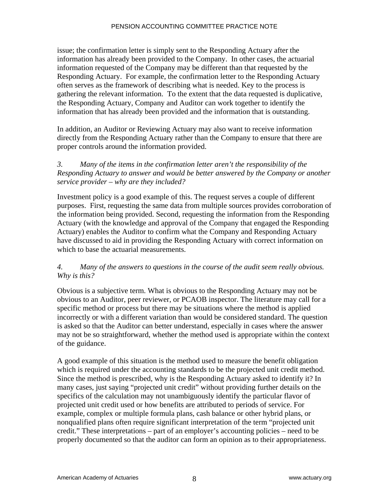issue; the confirmation letter is simply sent to the Responding Actuary after the information has already been provided to the Company. In other cases, the actuarial information requested of the Company may be different than that requested by the Responding Actuary. For example, the confirmation letter to the Responding Actuary often serves as the framework of describing what is needed. Key to the process is gathering the relevant information. To the extent that the data requested is duplicative, the Responding Actuary, Company and Auditor can work together to identify the information that has already been provided and the information that is outstanding.

In addition, an Auditor or Reviewing Actuary may also want to receive information directly from the Responding Actuary rather than the Company to ensure that there are proper controls around the information provided.

## *3. Many of the items in the confirmation letter aren't the responsibility of the Responding Actuary to answer and would be better answered by the Company or another service provider – why are they included?*

Investment policy is a good example of this. The request serves a couple of different purposes. First, requesting the same data from multiple sources provides corroboration of the information being provided. Second, requesting the information from the Responding Actuary (with the knowledge and approval of the Company that engaged the Responding Actuary) enables the Auditor to confirm what the Company and Responding Actuary have discussed to aid in providing the Responding Actuary with correct information on which to base the actuarial measurements.

## *4. Many of the answers to questions in the course of the audit seem really obvious. Why is this?*

Obvious is a subjective term. What is obvious to the Responding Actuary may not be obvious to an Auditor, peer reviewer, or PCAOB inspector. The literature may call for a specific method or process but there may be situations where the method is applied incorrectly or with a different variation than would be considered standard. The question is asked so that the Auditor can better understand, especially in cases where the answer may not be so straightforward, whether the method used is appropriate within the context of the guidance.

A good example of this situation is the method used to measure the benefit obligation which is required under the accounting standards to be the projected unit credit method. Since the method is prescribed, why is the Responding Actuary asked to identify it? In many cases, just saying "projected unit credit" without providing further details on the specifics of the calculation may not unambiguously identify the particular flavor of projected unit credit used or how benefits are attributed to periods of service. For example, complex or multiple formula plans, cash balance or other hybrid plans, or nonqualified plans often require significant interpretation of the term "projected unit credit." These interpretations – part of an employer's accounting policies – need to be properly documented so that the auditor can form an opinion as to their appropriateness.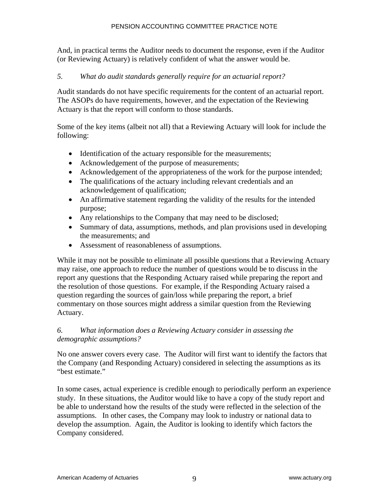And, in practical terms the Auditor needs to document the response, even if the Auditor (or Reviewing Actuary) is relatively confident of what the answer would be.

## *5. What do audit standards generally require for an actuarial report?*

Audit standards do not have specific requirements for the content of an actuarial report. The ASOPs do have requirements, however, and the expectation of the Reviewing Actuary is that the report will conform to those standards.

Some of the key items (albeit not all) that a Reviewing Actuary will look for include the following:

- Identification of the actuary responsible for the measurements;
- Acknowledgement of the purpose of measurements;
- Acknowledgement of the appropriateness of the work for the purpose intended;
- The qualifications of the actuary including relevant credentials and an acknowledgement of qualification;
- An affirmative statement regarding the validity of the results for the intended purpose;
- Any relationships to the Company that may need to be disclosed;
- Summary of data, assumptions, methods, and plan provisions used in developing the measurements; and
- Assessment of reasonableness of assumptions.

While it may not be possible to eliminate all possible questions that a Reviewing Actuary may raise, one approach to reduce the number of questions would be to discuss in the report any questions that the Responding Actuary raised while preparing the report and the resolution of those questions. For example, if the Responding Actuary raised a question regarding the sources of gain/loss while preparing the report, a brief commentary on those sources might address a similar question from the Reviewing Actuary.

## *6. What information does a Reviewing Actuary consider in assessing the demographic assumptions?*

No one answer covers every case. The Auditor will first want to identify the factors that the Company (and Responding Actuary) considered in selecting the assumptions as its "best estimate."

In some cases, actual experience is credible enough to periodically perform an experience study. In these situations, the Auditor would like to have a copy of the study report and be able to understand how the results of the study were reflected in the selection of the assumptions. In other cases, the Company may look to industry or national data to develop the assumption. Again, the Auditor is looking to identify which factors the Company considered.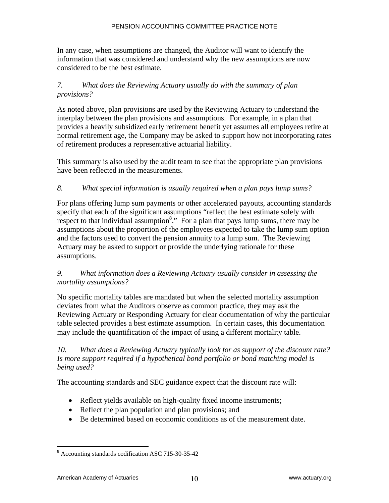In any case, when assumptions are changed, the Auditor will want to identify the information that was considered and understand why the new assumptions are now considered to be the best estimate.

## *7. What does the Reviewing Actuary usually do with the summary of plan provisions?*

As noted above, plan provisions are used by the Reviewing Actuary to understand the interplay between the plan provisions and assumptions. For example, in a plan that provides a heavily subsidized early retirement benefit yet assumes all employees retire at normal retirement age, the Company may be asked to support how not incorporating rates of retirement produces a representative actuarial liability.

This summary is also used by the audit team to see that the appropriate plan provisions have been reflected in the measurements.

## *8. What special information is usually required when a plan pays lump sums?*

For plans offering lump sum payments or other accelerated payouts, accounting standards specify that each of the significant assumptions "reflect the best estimate solely with respect to that individual assumption<sup>8</sup>." For a plan that pays lump sums, there may be assumptions about the proportion of the employees expected to take the lump sum option and the factors used to convert the pension annuity to a lump sum. The Reviewing Actuary may be asked to support or provide the underlying rationale for these assumptions.

## *9. What information does a Reviewing Actuary usually consider in assessing the mortality assumptions?*

No specific mortality tables are mandated but when the selected mortality assumption deviates from what the Auditors observe as common practice, they may ask the Reviewing Actuary or Responding Actuary for clear documentation of why the particular table selected provides a best estimate assumption. In certain cases, this documentation may include the quantification of the impact of using a different mortality table.

## *10. What does a Reviewing Actuary typically look for as support of the discount rate? Is more support required if a hypothetical bond portfolio or bond matching model is being used?*

The accounting standards and SEC guidance expect that the discount rate will:

- Reflect yields available on high-quality fixed income instruments;
- Reflect the plan population and plan provisions; and
- Be determined based on economic conditions as of the measurement date.

<u>.</u>

<sup>8</sup> Accounting standards codification ASC 715-30-35-42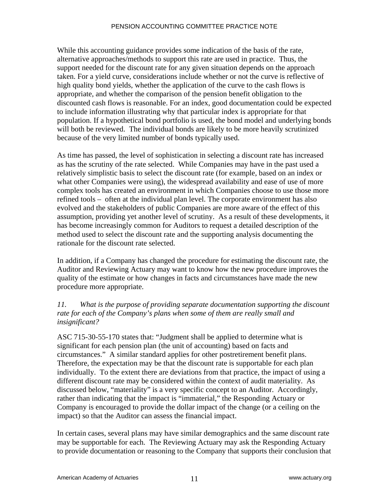While this accounting guidance provides some indication of the basis of the rate, alternative approaches/methods to support this rate are used in practice. Thus, the support needed for the discount rate for any given situation depends on the approach taken. For a yield curve, considerations include whether or not the curve is reflective of high quality bond yields, whether the application of the curve to the cash flows is appropriate, and whether the comparison of the pension benefit obligation to the discounted cash flows is reasonable. For an index, good documentation could be expected to include information illustrating why that particular index is appropriate for that population. If a hypothetical bond portfolio is used, the bond model and underlying bonds will both be reviewed. The individual bonds are likely to be more heavily scrutinized because of the very limited number of bonds typically used.

As time has passed, the level of sophistication in selecting a discount rate has increased as has the scrutiny of the rate selected. While Companies may have in the past used a relatively simplistic basis to select the discount rate (for example, based on an index or what other Companies were using), the widespread availability and ease of use of more complex tools has created an environment in which Companies choose to use those more refined tools – often at the individual plan level. The corporate environment has also evolved and the stakeholders of public Companies are more aware of the effect of this assumption, providing yet another level of scrutiny. As a result of these developments, it has become increasingly common for Auditors to request a detailed description of the method used to select the discount rate and the supporting analysis documenting the rationale for the discount rate selected.

In addition, if a Company has changed the procedure for estimating the discount rate, the Auditor and Reviewing Actuary may want to know how the new procedure improves the quality of the estimate or how changes in facts and circumstances have made the new procedure more appropriate.

## *11. What is the purpose of providing separate documentation supporting the discount rate for each of the Company's plans when some of them are really small and insignificant?*

ASC 715-30-55-170 states that: "Judgment shall be applied to determine what is significant for each pension plan (the unit of accounting) based on facts and circumstances." A similar standard applies for other postretirement benefit plans. Therefore, the expectation may be that the discount rate is supportable for each plan individually. To the extent there are deviations from that practice, the impact of using a different discount rate may be considered within the context of audit materiality. As discussed below, "materiality" is a very specific concept to an Auditor. Accordingly, rather than indicating that the impact is "immaterial," the Responding Actuary or Company is encouraged to provide the dollar impact of the change (or a ceiling on the impact) so that the Auditor can assess the financial impact.

In certain cases, several plans may have similar demographics and the same discount rate may be supportable for each. The Reviewing Actuary may ask the Responding Actuary to provide documentation or reasoning to the Company that supports their conclusion that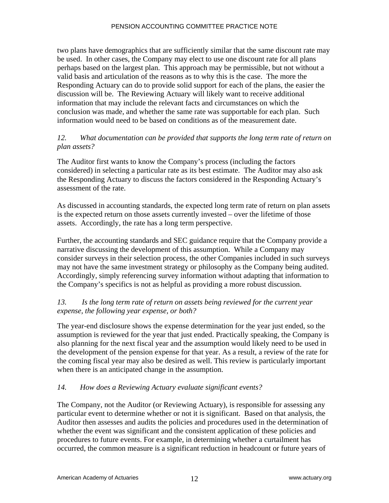two plans have demographics that are sufficiently similar that the same discount rate may be used. In other cases, the Company may elect to use one discount rate for all plans perhaps based on the largest plan. This approach may be permissible, but not without a valid basis and articulation of the reasons as to why this is the case. The more the Responding Actuary can do to provide solid support for each of the plans, the easier the discussion will be. The Reviewing Actuary will likely want to receive additional information that may include the relevant facts and circumstances on which the conclusion was made, and whether the same rate was supportable for each plan. Such information would need to be based on conditions as of the measurement date.

## *12. What documentation can be provided that supports the long term rate of return on plan assets?*

The Auditor first wants to know the Company's process (including the factors considered) in selecting a particular rate as its best estimate. The Auditor may also ask the Responding Actuary to discuss the factors considered in the Responding Actuary's assessment of the rate.

As discussed in accounting standards, the expected long term rate of return on plan assets is the expected return on those assets currently invested – over the lifetime of those assets. Accordingly, the rate has a long term perspective.

Further, the accounting standards and SEC guidance require that the Company provide a narrative discussing the development of this assumption. While a Company may consider surveys in their selection process, the other Companies included in such surveys may not have the same investment strategy or philosophy as the Company being audited. Accordingly, simply referencing survey information without adapting that information to the Company's specifics is not as helpful as providing a more robust discussion.

## *13. Is the long term rate of return on assets being reviewed for the current year expense, the following year expense, or both?*

The year-end disclosure shows the expense determination for the year just ended, so the assumption is reviewed for the year that just ended. Practically speaking, the Company is also planning for the next fiscal year and the assumption would likely need to be used in the development of the pension expense for that year. As a result, a review of the rate for the coming fiscal year may also be desired as well. This review is particularly important when there is an anticipated change in the assumption.

## *14. How does a Reviewing Actuary evaluate significant events?*

The Company, not the Auditor (or Reviewing Actuary), is responsible for assessing any particular event to determine whether or not it is significant. Based on that analysis, the Auditor then assesses and audits the policies and procedures used in the determination of whether the event was significant and the consistent application of these policies and procedures to future events. For example, in determining whether a curtailment has occurred, the common measure is a significant reduction in headcount or future years of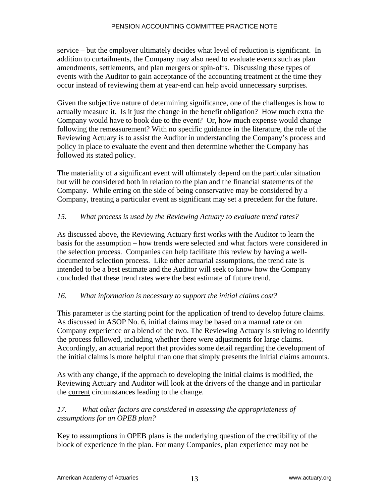service – but the employer ultimately decides what level of reduction is significant. In addition to curtailments, the Company may also need to evaluate events such as plan amendments, settlements, and plan mergers or spin-offs. Discussing these types of events with the Auditor to gain acceptance of the accounting treatment at the time they occur instead of reviewing them at year-end can help avoid unnecessary surprises.

Given the subjective nature of determining significance, one of the challenges is how to actually measure it. Is it just the change in the benefit obligation? How much extra the Company would have to book due to the event? Or, how much expense would change following the remeasurement? With no specific guidance in the literature, the role of the Reviewing Actuary is to assist the Auditor in understanding the Company's process and policy in place to evaluate the event and then determine whether the Company has followed its stated policy.

The materiality of a significant event will ultimately depend on the particular situation but will be considered both in relation to the plan and the financial statements of the Company. While erring on the side of being conservative may be considered by a Company, treating a particular event as significant may set a precedent for the future.

## *15. What process is used by the Reviewing Actuary to evaluate trend rates?*

As discussed above, the Reviewing Actuary first works with the Auditor to learn the basis for the assumption – how trends were selected and what factors were considered in the selection process. Companies can help facilitate this review by having a welldocumented selection process. Like other actuarial assumptions, the trend rate is intended to be a best estimate and the Auditor will seek to know how the Company concluded that these trend rates were the best estimate of future trend.

#### *16. What information is necessary to support the initial claims cost?*

This parameter is the starting point for the application of trend to develop future claims. As discussed in ASOP No. 6, initial claims may be based on a manual rate or on Company experience or a blend of the two. The Reviewing Actuary is striving to identify the process followed, including whether there were adjustments for large claims. Accordingly, an actuarial report that provides some detail regarding the development of the initial claims is more helpful than one that simply presents the initial claims amounts.

As with any change, if the approach to developing the initial claims is modified, the Reviewing Actuary and Auditor will look at the drivers of the change and in particular the current circumstances leading to the change.

## *17. What other factors are considered in assessing the appropriateness of assumptions for an OPEB plan?*

Key to assumptions in OPEB plans is the underlying question of the credibility of the block of experience in the plan. For many Companies, plan experience may not be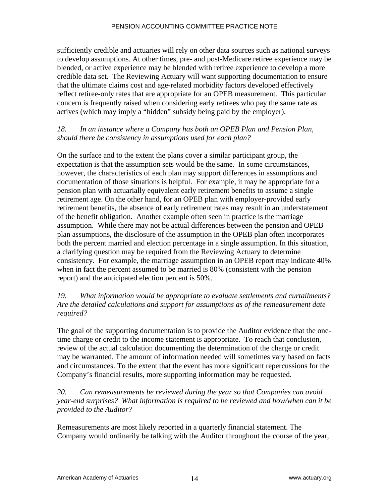sufficiently credible and actuaries will rely on other data sources such as national surveys to develop assumptions. At other times, pre- and post-Medicare retiree experience may be blended, or active experience may be blended with retiree experience to develop a more credible data set. The Reviewing Actuary will want supporting documentation to ensure that the ultimate claims cost and age-related morbidity factors developed effectively reflect retiree-only rates that are appropriate for an OPEB measurement. This particular concern is frequently raised when considering early retirees who pay the same rate as actives (which may imply a "hidden" subsidy being paid by the employer).

## *18. In an instance where a Company has both an OPEB Plan and Pension Plan, should there be consistency in assumptions used for each plan?*

On the surface and to the extent the plans cover a similar participant group, the expectation is that the assumption sets would be the same. In some circumstances, however, the characteristics of each plan may support differences in assumptions and documentation of those situations is helpful. For example, it may be appropriate for a pension plan with actuarially equivalent early retirement benefits to assume a single retirement age. On the other hand, for an OPEB plan with employer-provided early retirement benefits, the absence of early retirement rates may result in an understatement of the benefit obligation. Another example often seen in practice is the marriage assumption. While there may not be actual differences between the pension and OPEB plan assumptions, the disclosure of the assumption in the OPEB plan often incorporates both the percent married and election percentage in a single assumption. In this situation, a clarifying question may be required from the Reviewing Actuary to determine consistency. For example, the marriage assumption in an OPEB report may indicate 40% when in fact the percent assumed to be married is 80% (consistent with the pension report) and the anticipated election percent is 50%.

## *19. What information would be appropriate to evaluate settlements and curtailments? Are the detailed calculations and support for assumptions as of the remeasurement date required?*

The goal of the supporting documentation is to provide the Auditor evidence that the onetime charge or credit to the income statement is appropriate. To reach that conclusion, review of the actual calculation documenting the determination of the charge or credit may be warranted. The amount of information needed will sometimes vary based on facts and circumstances. To the extent that the event has more significant repercussions for the Company's financial results, more supporting information may be requested.

*20. Can remeasurements be reviewed during the year so that Companies can avoid year-end surprises? What information is required to be reviewed and how/when can it be provided to the Auditor?* 

Remeasurements are most likely reported in a quarterly financial statement. The Company would ordinarily be talking with the Auditor throughout the course of the year,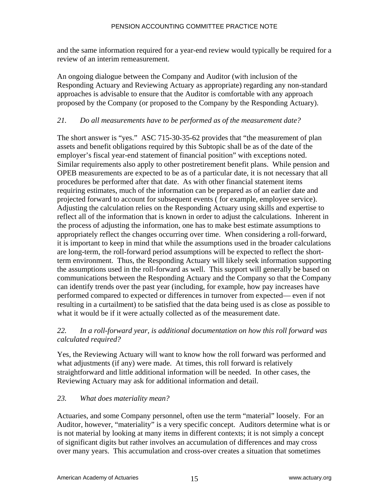and the same information required for a year-end review would typically be required for a review of an interim remeasurement.

An ongoing dialogue between the Company and Auditor (with inclusion of the Responding Actuary and Reviewing Actuary as appropriate) regarding any non-standard approaches is advisable to ensure that the Auditor is comfortable with any approach proposed by the Company (or proposed to the Company by the Responding Actuary).

## *21. Do all measurements have to be performed as of the measurement date?*

The short answer is "yes." ASC 715-30-35-62 provides that "the measurement of plan assets and benefit obligations required by this Subtopic shall be as of the date of the employer's fiscal year-end statement of financial position" with exceptions noted. Similar requirements also apply to other postretirement benefit plans. While pension and OPEB measurements are expected to be as of a particular date, it is not necessary that all procedures be performed after that date. As with other financial statement items requiring estimates, much of the information can be prepared as of an earlier date and projected forward to account for subsequent events ( for example, employee service). Adjusting the calculation relies on the Responding Actuary using skills and expertise to reflect all of the information that is known in order to adjust the calculations. Inherent in the process of adjusting the information, one has to make best estimate assumptions to appropriately reflect the changes occurring over time. When considering a roll-forward, it is important to keep in mind that while the assumptions used in the broader calculations are long-term, the roll-forward period assumptions will be expected to reflect the shortterm environment. Thus, the Responding Actuary will likely seek information supporting the assumptions used in the roll-forward as well. This support will generally be based on communications between the Responding Actuary and the Company so that the Company can identify trends over the past year (including, for example, how pay increases have performed compared to expected or differences in turnover from expected— even if not resulting in a curtailment) to be satisfied that the data being used is as close as possible to what it would be if it were actually collected as of the measurement date.

## *22. In a roll-forward year, is additional documentation on how this roll forward was calculated required?*

Yes, the Reviewing Actuary will want to know how the roll forward was performed and what adjustments (if any) were made. At times, this roll forward is relatively straightforward and little additional information will be needed. In other cases, the Reviewing Actuary may ask for additional information and detail.

## *23. What does materiality mean?*

Actuaries, and some Company personnel, often use the term "material" loosely. For an Auditor, however, "materiality" is a very specific concept. Auditors determine what is or is not material by looking at many items in different contexts; it is not simply a concept of significant digits but rather involves an accumulation of differences and may cross over many years. This accumulation and cross-over creates a situation that sometimes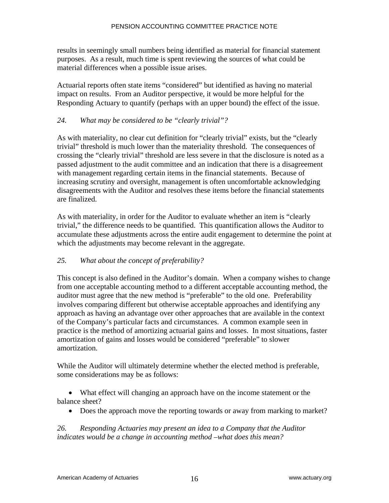results in seemingly small numbers being identified as material for financial statement purposes. As a result, much time is spent reviewing the sources of what could be material differences when a possible issue arises.

Actuarial reports often state items "considered" but identified as having no material impact on results. From an Auditor perspective, it would be more helpful for the Responding Actuary to quantify (perhaps with an upper bound) the effect of the issue.

## *24. What may be considered to be "clearly trivial"?*

As with materiality, no clear cut definition for "clearly trivial" exists, but the "clearly trivial" threshold is much lower than the materiality threshold. The consequences of crossing the "clearly trivial" threshold are less severe in that the disclosure is noted as a passed adjustment to the audit committee and an indication that there is a disagreement with management regarding certain items in the financial statements. Because of increasing scrutiny and oversight, management is often uncomfortable acknowledging disagreements with the Auditor and resolves these items before the financial statements are finalized.

As with materiality, in order for the Auditor to evaluate whether an item is "clearly trivial," the difference needs to be quantified. This quantification allows the Auditor to accumulate these adjustments across the entire audit engagement to determine the point at which the adjustments may become relevant in the aggregate.

#### *25. What about the concept of preferability?*

This concept is also defined in the Auditor's domain. When a company wishes to change from one acceptable accounting method to a different acceptable accounting method, the auditor must agree that the new method is "preferable" to the old one. Preferability involves comparing different but otherwise acceptable approaches and identifying any approach as having an advantage over other approaches that are available in the context of the Company's particular facts and circumstances. A common example seen in practice is the method of amortizing actuarial gains and losses. In most situations, faster amortization of gains and losses would be considered "preferable" to slower amortization.

While the Auditor will ultimately determine whether the elected method is preferable, some considerations may be as follows:

• What effect will changing an approach have on the income statement or the balance sheet?

• Does the approach move the reporting towards or away from marking to market?

*26. Responding Actuaries may present an idea to a Company that the Auditor indicates would be a change in accounting method –what does this mean?*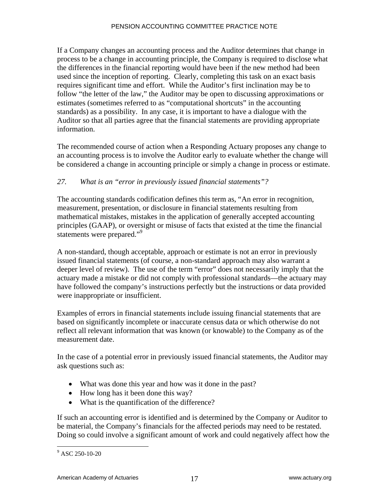If a Company changes an accounting process and the Auditor determines that change in process to be a change in accounting principle, the Company is required to disclose what the differences in the financial reporting would have been if the new method had been used since the inception of reporting. Clearly, completing this task on an exact basis requires significant time and effort. While the Auditor's first inclination may be to follow "the letter of the law," the Auditor may be open to discussing approximations or estimates (sometimes referred to as "computational shortcuts" in the accounting standards) as a possibility. In any case, it is important to have a dialogue with the Auditor so that all parties agree that the financial statements are providing appropriate information.

The recommended course of action when a Responding Actuary proposes any change to an accounting process is to involve the Auditor early to evaluate whether the change will be considered a change in accounting principle or simply a change in process or estimate.

## *27. What is an "error in previously issued financial statements"?*

The accounting standards codification defines this term as, "An error in recognition, measurement, presentation, or disclosure in financial statements resulting from mathematical mistakes, mistakes in the application of generally accepted accounting principles (GAAP), or oversight or misuse of facts that existed at the time the financial statements were prepared."<sup>9</sup>

A non-standard, though acceptable, approach or estimate is not an error in previously issued financial statements (of course, a non-standard approach may also warrant a deeper level of review). The use of the term "error" does not necessarily imply that the actuary made a mistake or did not comply with professional standards—the actuary may have followed the company's instructions perfectly but the instructions or data provided were inappropriate or insufficient.

Examples of errors in financial statements include issuing financial statements that are based on significantly incomplete or inaccurate census data or which otherwise do not reflect all relevant information that was known (or knowable) to the Company as of the measurement date.

In the case of a potential error in previously issued financial statements, the Auditor may ask questions such as:

- What was done this year and how was it done in the past?
- How long has it been done this way?
- What is the quantification of the difference?

If such an accounting error is identified and is determined by the Company or Auditor to be material, the Company's financials for the affected periods may need to be restated. Doing so could involve a significant amount of work and could negatively affect how the

 $\overline{a}$ 

<sup>9</sup> ASC 250-10-20